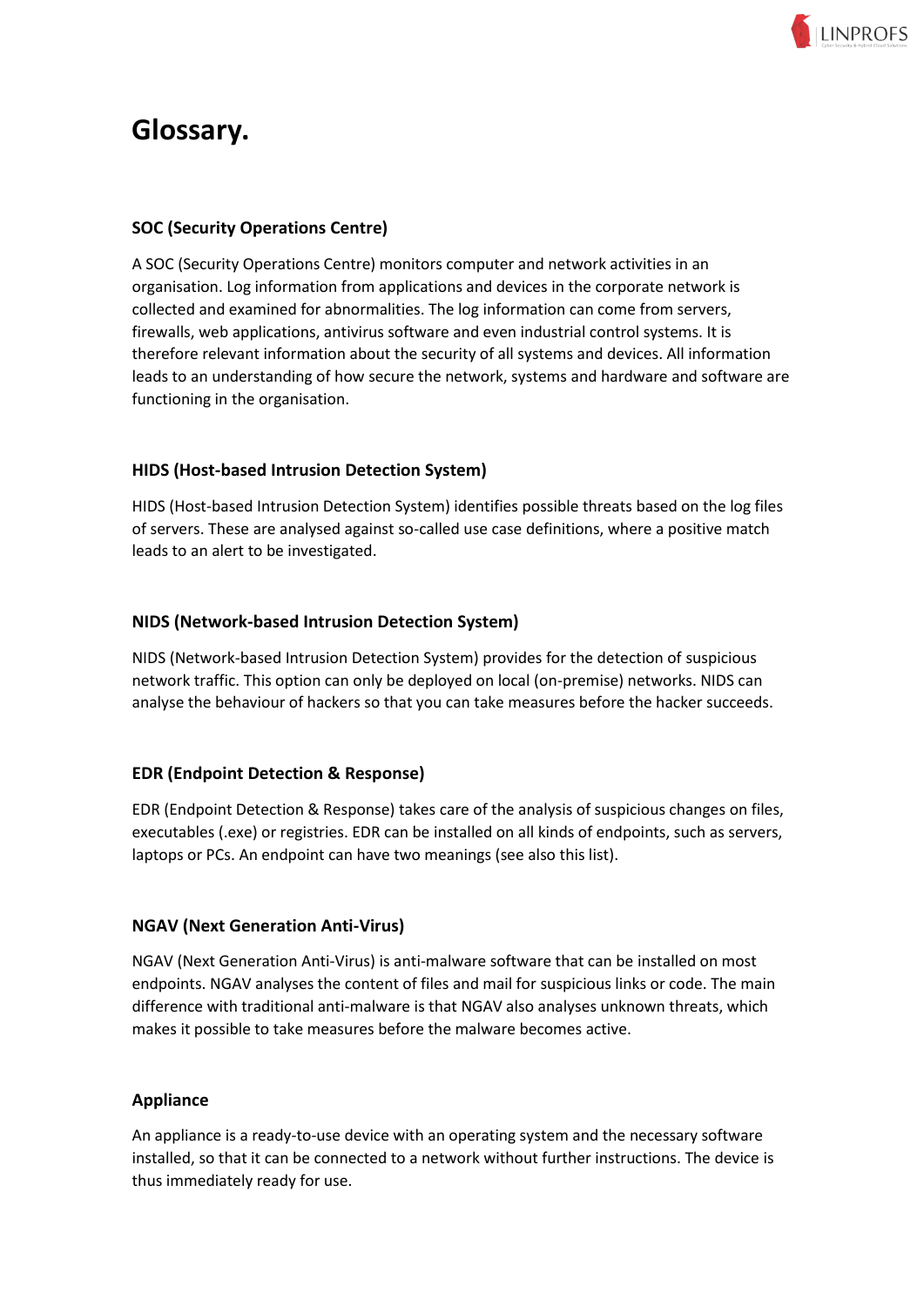

# **Glossary.**

# **SOC (Security Operations Centre)**

A SOC (Security Operations Centre) monitors computer and network activities in an organisation. Log information from applications and devices in the corporate network is collected and examined for abnormalities. The log information can come from servers, firewalls, web applications, antivirus software and even industrial control systems. It is therefore relevant information about the security of all systems and devices. All information leads to an understanding of how secure the network, systems and hardware and software are functioning in the organisation.

## **HIDS (Host-based Intrusion Detection System)**

HIDS (Host-based Intrusion Detection System) identifies possible threats based on the log files of servers. These are analysed against so-called use case definitions, where a positive match leads to an alert to be investigated.

## **NIDS (Network-based Intrusion Detection System)**

NIDS (Network-based Intrusion Detection System) provides for the detection of suspicious network traffic. This option can only be deployed on local (on-premise) networks. NIDS can analyse the behaviour of hackers so that you can take measures before the hacker succeeds.

# **EDR (Endpoint Detection & Response)**

EDR (Endpoint Detection & Response) takes care of the analysis of suspicious changes on files, executables (.exe) or registries. EDR can be installed on all kinds of endpoints, such as servers, laptops or PCs. An endpoint can have two meanings (see also this list).

## **NGAV (Next Generation Anti-Virus)**

NGAV (Next Generation Anti-Virus) is anti-malware software that can be installed on most endpoints. NGAV analyses the content of files and mail for suspicious links or code. The main difference with traditional anti-malware is that NGAV also analyses unknown threats, which makes it possible to take measures before the malware becomes active.

## **Appliance**

An appliance is a ready-to-use device with an operating system and the necessary software installed, so that it can be connected to a network without further instructions. The device is thus immediately ready for use.